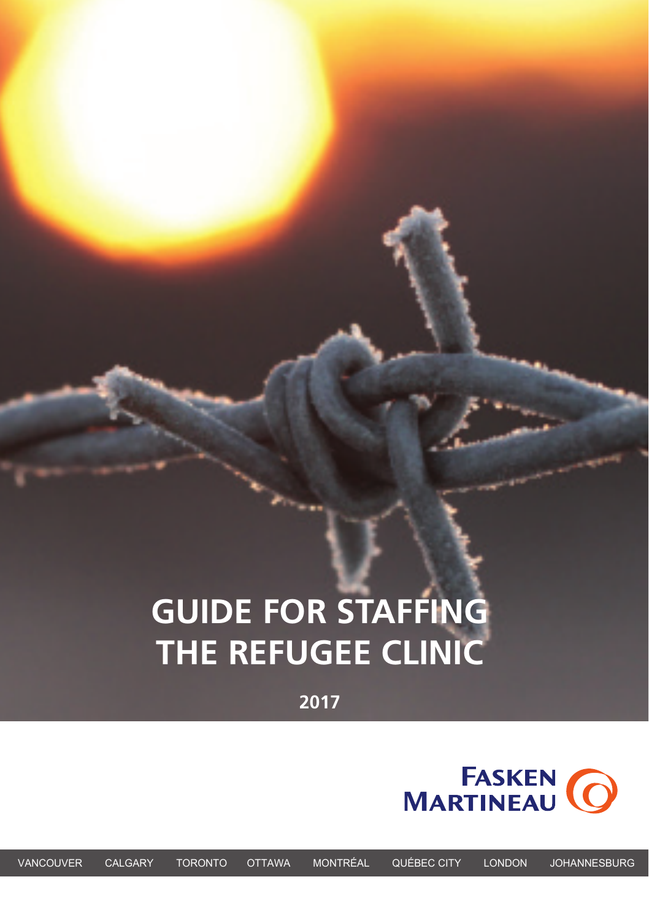# **GUIDE FOR STAFFING THE REFUGEE CLINIC**

**2017**

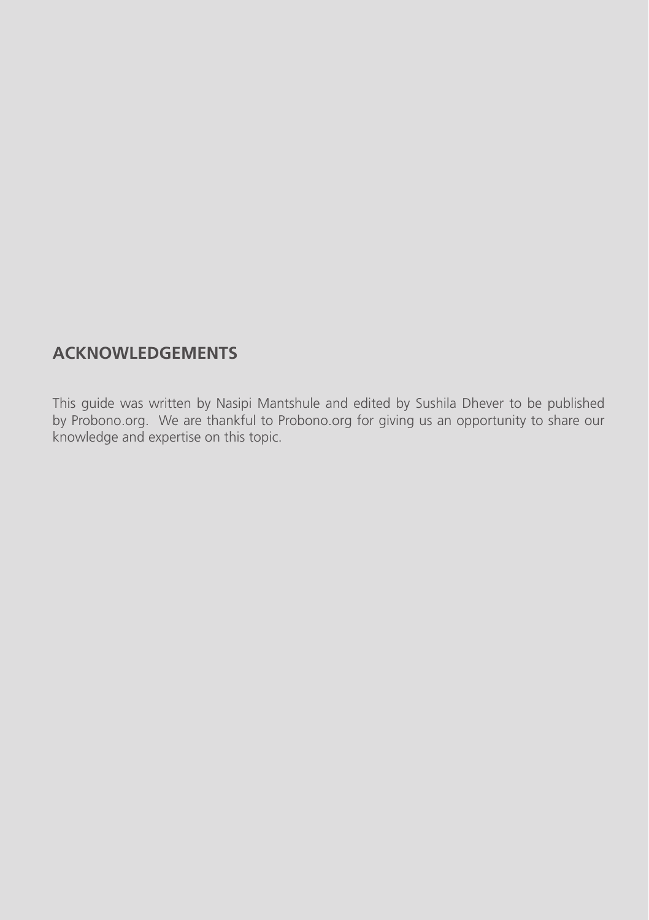## **ACKNOWLEDGEMENTS**

This guide was written by Nasipi Mantshule and edited by Sushila Dhever to be published by Probono.org. We are thankful to Probono.org for giving us an opportunity to share our knowledge and expertise on this topic.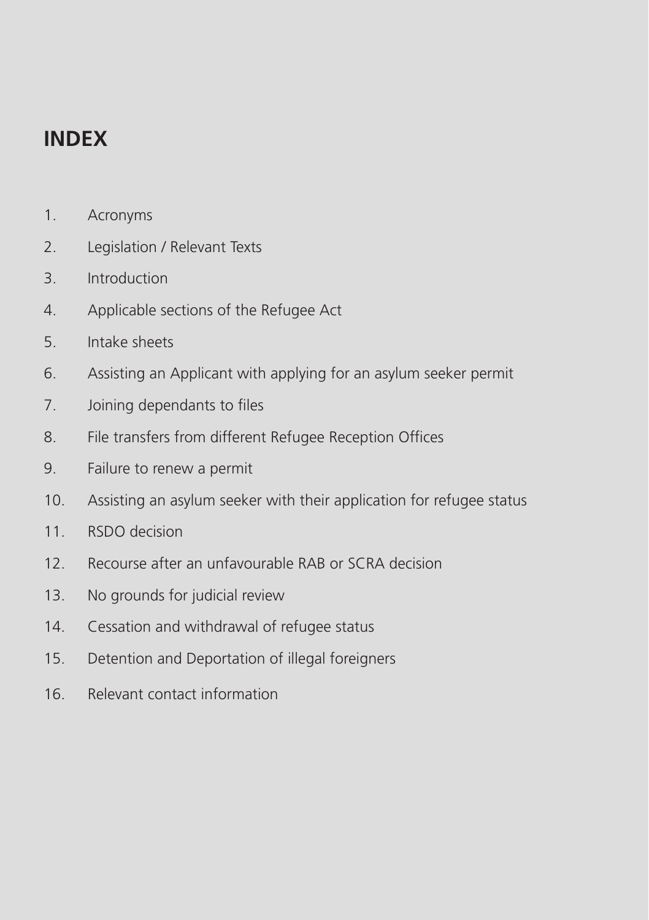## **INDEX**

- 1. Acronyms
- 2. Legislation / Relevant Texts
- 3. Introduction
- 4. Applicable sections of the Refugee Act
- 5. Intake sheets
- 6. Assisting an Applicant with applying for an asylum seeker permit
- 7. Joining dependants to files
- 8. File transfers from different Refugee Reception Offices
- 9. Failure to renew a permit
- 10. Assisting an asylum seeker with their application for refugee status
- 11. RSDO decision
- 12. Recourse after an unfavourable RAB or SCRA decision
- 13. No grounds for judicial review
- 14. Cessation and withdrawal of refugee status
- 15. Detention and Deportation of illegal foreigners
- 16. Relevant contact information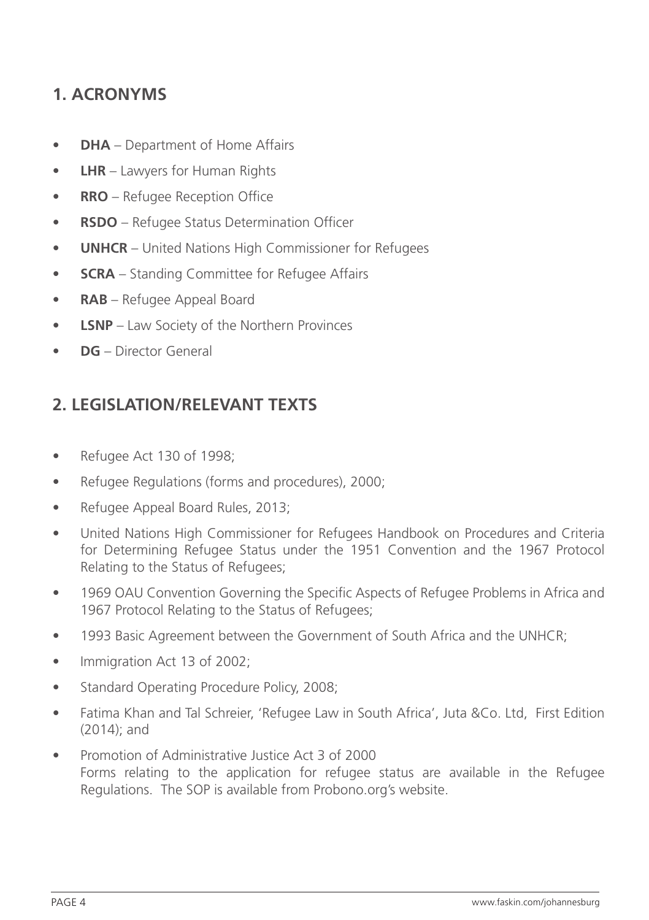## **1. ACRONYMS**

- **• DHA** Department of Home Affairs
- **• LHR** Lawyers for Human Rights
- **• RRO** Refugee Reception Office
- **• RSDO** Refugee Status Determination Officer
- **• UNHCR** United Nations High Commissioner for Refugees
- **• SCRA** Standing Committee for Refugee Affairs
- **• RAB** Refugee Appeal Board
- **• LSNP** Law Society of the Northern Provinces
- **• DG** Director General

## **2. LEGISLATION/RELEVANT TEXTS**

- Refugee Act 130 of 1998;
- Refugee Regulations (forms and procedures), 2000;
- Refugee Appeal Board Rules, 2013;
- United Nations High Commissioner for Refugees Handbook on Procedures and Criteria for Determining Refugee Status under the 1951 Convention and the 1967 Protocol Relating to the Status of Refugees;
- 1969 OAU Convention Governing the Specific Aspects of Refugee Problems in Africa and 1967 Protocol Relating to the Status of Refugees;
- 1993 Basic Agreement between the Government of South Africa and the UNHCR;
- Immigration Act 13 of 2002;
- Standard Operating Procedure Policy, 2008;
- Fatima Khan and Tal Schreier, 'Refugee Law in South Africa', Juta &Co. Ltd. First Edition (2014); and
- Promotion of Administrative Justice Act 3 of 2000 Forms relating to the application for refugee status are available in the Refugee Regulations. The SOP is available from Probono.org's website.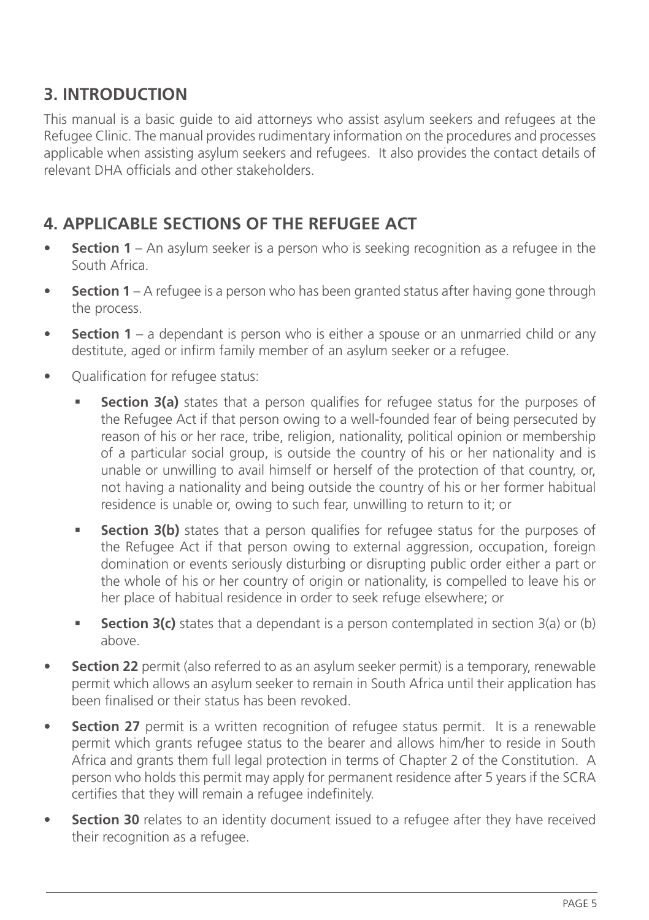## **3. INTRODUCTION**

This manual is a basic guide to aid attorneys who assist asylum seekers and refugees at the Refugee Clinic. The manual provides rudimentary information on the procedures and processes applicable when assisting asylum seekers and refugees. It also provides the contact details of relevant DHA officials and other stakeholders.

## **4. APPLICABLE SECTIONS OF THE REFUGEE ACT**

- **Section 1** An asylum seeker is a person who is seeking recognition as a refugee in the South Africa.
- **• Section 1** A refugee is a person who has been granted status after having gone through the process.
- **•• Section 1** a dependant is person who is either a spouse or an unmarried child or any destitute, aged or infirm family member of an asylum seeker or a refugee.
- Qualification for refugee status:
	- **Section 3(a)** states that a person qualifies for refugee status for the purposes of the Refugee Act if that person owing to a well-founded fear of being persecuted by reason of his or her race, tribe, religion, nationality, political opinion or membership of a particular social group, is outside the country of his or her nationality and is unable or unwilling to avail himself or herself of the protection of that country, or, not having a nationality and being outside the country of his or her former habitual residence is unable or, owing to such fear, unwilling to return to it; or
	- **Section 3(b)** states that a person qualifies for refugee status for the purposes of the Refugee Act if that person owing to external aggression, occupation, foreign domination or events seriously disturbing or disrupting public order either a part or the whole of his or her country of origin or nationality, is compelled to leave his or her place of habitual residence in order to seek refuge elsewhere; or
	- **• Section 3(c)** states that a dependant is a person contemplated in section 3(a) or (b) above.
- **• Section 22** permit (also referred to as an asylum seeker permit) is a temporary, renewable permit which allows an asylum seeker to remain in South Africa until their application has been finalised or their status has been revoked.
- **Section 27** permit is a written recognition of refugee status permit. It is a renewable permit which grants refugee status to the bearer and allows him/her to reside in South Africa and grants them full legal protection in terms of Chapter 2 of the Constitution. A person who holds this permit may apply for permanent residence after 5 years if the SCRA certifies that they will remain a refugee indefinitely.
- **• Section 30** relates to an identity document issued to a refugee after they have received their recognition as a refugee.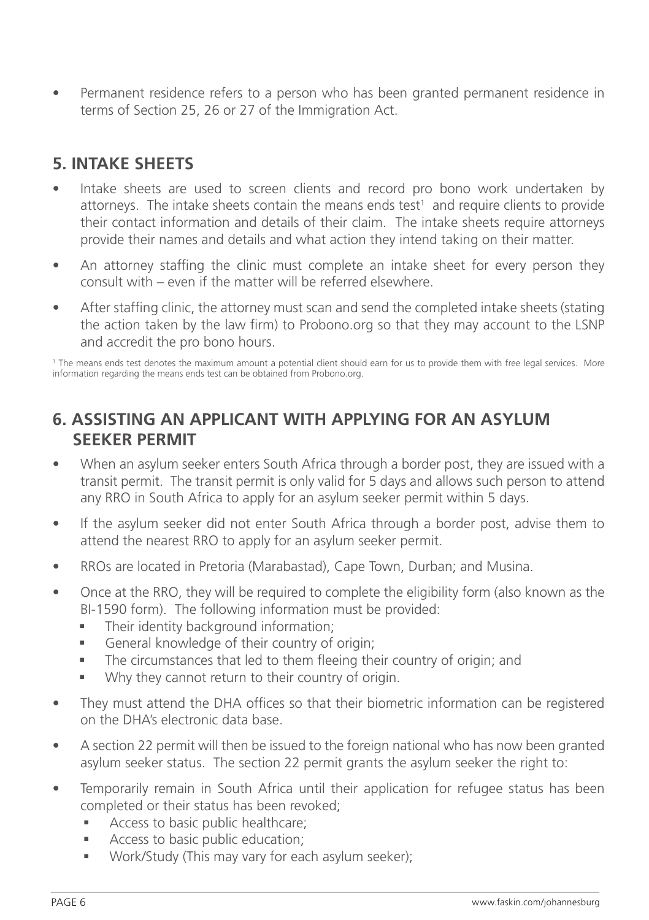• Permanent residence refers to a person who has been granted permanent residence in terms of Section 25, 26 or 27 of the Immigration Act.

## **5. INTAKE SHEETS**

- Intake sheets are used to screen clients and record pro bono work undertaken by attorneys. The intake sheets contain the means ends test<sup>1</sup> and require clients to provide their contact information and details of their claim. The intake sheets require attorneys provide their names and details and what action they intend taking on their matter.
- An attorney staffing the clinic must complete an intake sheet for every person they consult with – even if the matter will be referred elsewhere.
- After staffing clinic, the attorney must scan and send the completed intake sheets (stating the action taken by the law firm) to Probono.org so that they may account to the LSNP and accredit the pro bono hours.

1 The means ends test denotes the maximum amount a potential client should earn for us to provide them with free legal services. More information regarding the means ends test can be obtained from Probono.org.

#### **6. ASSISTING AN APPLICANT WITH APPLYING FOR AN ASYLUM SEEKER PERMIT**

- When an asylum seeker enters South Africa through a border post, they are issued with a transit permit. The transit permit is only valid for 5 days and allows such person to attend any RRO in South Africa to apply for an asylum seeker permit within 5 days.
- If the asylum seeker did not enter South Africa through a border post, advise them to attend the nearest RRO to apply for an asylum seeker permit.
- RROs are located in Pretoria (Marabastad), Cape Town, Durban; and Musina.
- Once at the RRO, they will be required to complete the eligibility form (also known as the BI-1590 form). The following information must be provided:
	- Their identity background information;
	- **•** General knowledge of their country of origin;
	- § The circumstances that led to them fleeing their country of origin; and
	- Why they cannot return to their country of origin.
- They must attend the DHA offices so that their biometric information can be registered on the DHA's electronic data base.
- A section 22 permit will then be issued to the foreign national who has now been granted asylum seeker status. The section 22 permit grants the asylum seeker the right to:
- Temporarily remain in South Africa until their application for refugee status has been completed or their status has been revoked;
	- Access to basic public healthcare;
	- Access to basic public education:
	- § Work/Study (This may vary for each asylum seeker);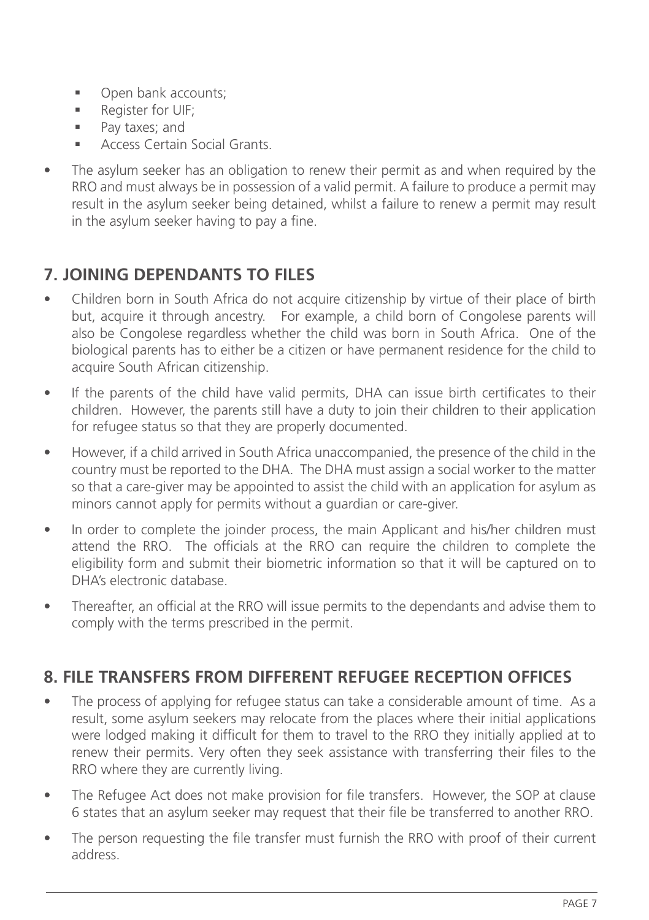- Open bank accounts;
- § Register for UIF;
- § Pay taxes; and
- § Access Certain Social Grants.
- The asylum seeker has an obligation to renew their permit as and when required by the RRO and must always be in possession of a valid permit. A failure to produce a permit may result in the asylum seeker being detained, whilst a failure to renew a permit may result in the asylum seeker having to pay a fine.

## **7. JOINING DEPENDANTS TO FILES**

- Children born in South Africa do not acquire citizenship by virtue of their place of birth but, acquire it through ancestry. For example, a child born of Congolese parents will also be Congolese regardless whether the child was born in South Africa. One of the biological parents has to either be a citizen or have permanent residence for the child to acquire South African citizenship.
- If the parents of the child have valid permits, DHA can issue birth certificates to their children. However, the parents still have a duty to join their children to their application for refugee status so that they are properly documented.
- However, if a child arrived in South Africa unaccompanied, the presence of the child in the country must be reported to the DHA. The DHA must assign a social worker to the matter so that a care-giver may be appointed to assist the child with an application for asylum as minors cannot apply for permits without a guardian or care-giver.
- In order to complete the joinder process, the main Applicant and his/her children must attend the RRO. The officials at the RRO can require the children to complete the eligibility form and submit their biometric information so that it will be captured on to DHA's electronic database.
- Thereafter, an official at the RRO will issue permits to the dependants and advise them to comply with the terms prescribed in the permit.

#### **8. FILE TRANSFERS FROM DIFFERENT REFUGEE RECEPTION OFFICES**

- The process of applying for refugee status can take a considerable amount of time. As a result, some asylum seekers may relocate from the places where their initial applications were lodged making it difficult for them to travel to the RRO they initially applied at to renew their permits. Very often they seek assistance with transferring their files to the RRO where they are currently living.
- The Refugee Act does not make provision for file transfers. However, the SOP at clause 6 states that an asylum seeker may request that their file be transferred to another RRO.
- The person requesting the file transfer must furnish the RRO with proof of their current address.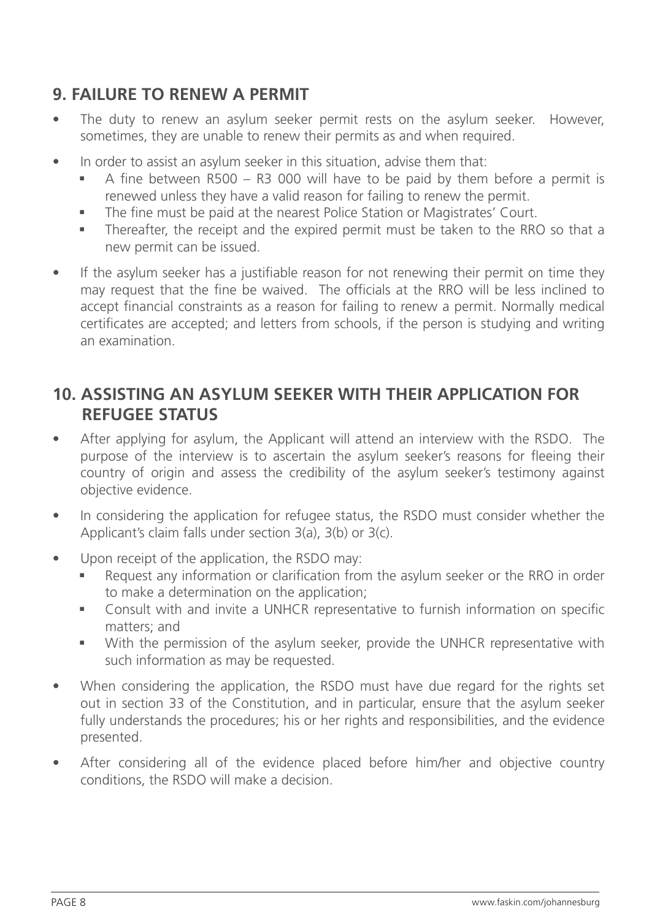## **9. FAILURE TO RENEW A PERMIT**

- The duty to renew an asylum seeker permit rests on the asylum seeker. However, sometimes, they are unable to renew their permits as and when required.
- In order to assist an asylum seeker in this situation, advise them that:
	- $\blacksquare$  A fine between R500 R3 000 will have to be paid by them before a permit is renewed unless they have a valid reason for failing to renew the permit.
	- The fine must be paid at the nearest Police Station or Magistrates' Court.
	- § Thereafter, the receipt and the expired permit must be taken to the RRO so that a new permit can be issued.
- If the asylum seeker has a justifiable reason for not renewing their permit on time they may request that the fine be waived. The officials at the RRO will be less inclined to accept financial constraints as a reason for failing to renew a permit. Normally medical certificates are accepted; and letters from schools, if the person is studying and writing an examination.

#### **10. ASSISTING AN ASYLUM SEEKER WITH THEIR APPLICATION FOR REFUGEE STATUS**

- After applying for asylum, the Applicant will attend an interview with the RSDO. The purpose of the interview is to ascertain the asylum seeker's reasons for fleeing their country of origin and assess the credibility of the asylum seeker's testimony against objective evidence.
- In considering the application for refugee status, the RSDO must consider whether the Applicant's claim falls under section 3(a), 3(b) or 3(c).
- Upon receipt of the application, the RSDO may:
	- Request any information or clarification from the asylum seeker or the RRO in order to make a determination on the application;
	- § Consult with and invite a UNHCR representative to furnish information on specific matters; and
	- § With the permission of the asylum seeker, provide the UNHCR representative with such information as may be requested.
- When considering the application, the RSDO must have due regard for the rights set out in section 33 of the Constitution, and in particular, ensure that the asylum seeker fully understands the procedures; his or her rights and responsibilities, and the evidence presented.
- After considering all of the evidence placed before him/her and objective country conditions, the RSDO will make a decision.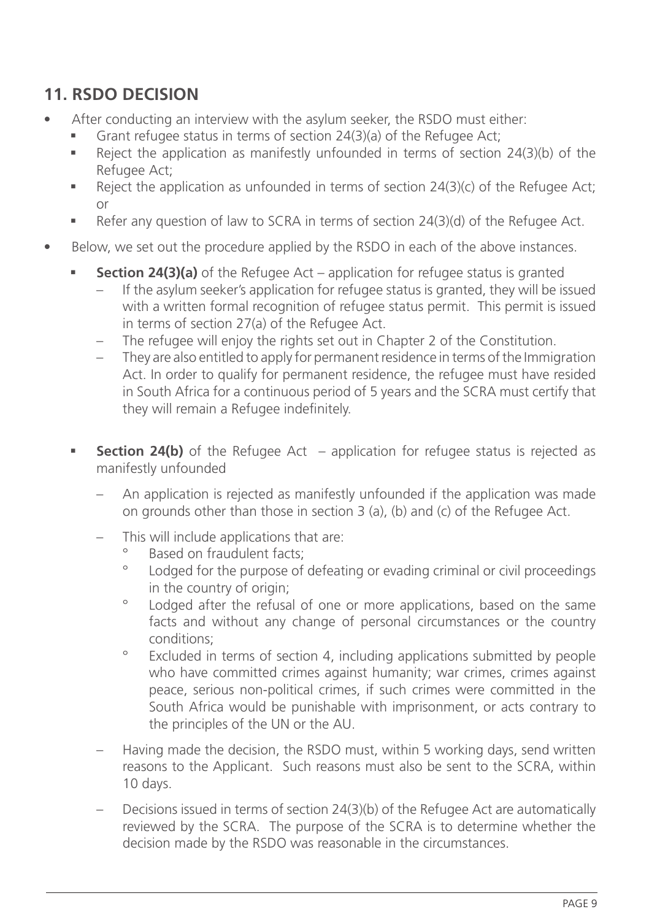## **11. RSDO DECISION**

- After conducting an interview with the asylum seeker, the RSDO must either:
	- Grant refugee status in terms of section 24(3)(a) of the Refugee Act;
	- Reject the application as manifestly unfounded in terms of section 24(3)(b) of the Refugee Act;
	- Reject the application as unfounded in terms of section  $24(3)(c)$  of the Refugee Act; or
	- Refer any question of law to SCRA in terms of section 24(3)(d) of the Refugee Act.
- Below, we set out the procedure applied by the RSDO in each of the above instances.
	- **Section 24(3)(a)** of the Refugee Act application for refugee status is granted
		- If the asylum seeker's application for refugee status is granted, they will be issued with a written formal recognition of refugee status permit. This permit is issued in terms of section 27(a) of the Refugee Act.
		- The refugee will enjoy the rights set out in Chapter 2 of the Constitution.
		- They are also entitled to apply for permanent residence in terms of the Immigration Act. In order to qualify for permanent residence, the refugee must have resided in South Africa for a continuous period of 5 years and the SCRA must certify that they will remain a Refugee indefinitely.
	- **Section 24(b)** of the Refugee Act application for refugee status is rejected as manifestly unfounded
		- An application is rejected as manifestly unfounded if the application was made on grounds other than those in section 3 (a), (b) and (c) of the Refugee Act.
		- This will include applications that are:
			- ° Based on fraudulent facts;
			- Lodged for the purpose of defeating or evading criminal or civil proceedings in the country of origin;
			- ° Lodged after the refusal of one or more applications, based on the same facts and without any change of personal circumstances or the country conditions;
			- ° Excluded in terms of section 4, including applications submitted by people who have committed crimes against humanity; war crimes, crimes against peace, serious non-political crimes, if such crimes were committed in the South Africa would be punishable with imprisonment, or acts contrary to the principles of the UN or the AU.
		- Having made the decision, the RSDO must, within 5 working days, send written reasons to the Applicant. Such reasons must also be sent to the SCRA, within 10 days.
		- Decisions issued in terms of section 24(3)(b) of the Refugee Act are automatically reviewed by the SCRA. The purpose of the SCRA is to determine whether the decision made by the RSDO was reasonable in the circumstances.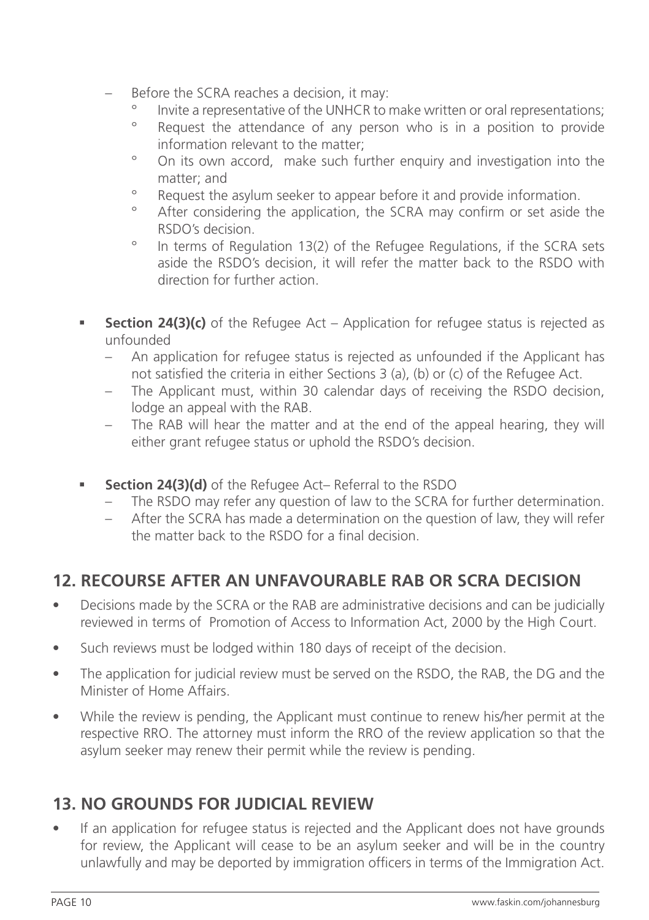- Before the SCRA reaches a decision, it may:
	- ° Invite a representative of the UNHCR to make written or oral representations;<br>Representation of any person who is in a position to provide
	- Request the attendance of any person who is in a position to provide information relevant to the matter;
	- ° On its own accord, make such further enquiry and investigation into the matter; and
	- Request the asylum seeker to appear before it and provide information.
	- After considering the application, the SCRA may confirm or set aside the RSDO's decision.
	- ° In terms of Regulation 13(2) of the Refugee Regulations, if the SCRA sets aside the RSDO's decision, it will refer the matter back to the RSDO with direction for further action.
- **•** Section 24(3)(c) of the Refugee Act Application for refugee status is rejected as unfounded
	- An application for refugee status is rejected as unfounded if the Applicant has not satisfied the criteria in either Sections 3 (a), (b) or (c) of the Refugee Act.
	- The Applicant must, within 30 calendar days of receiving the RSDO decision, lodge an appeal with the RAB.
	- The RAB will hear the matter and at the end of the appeal hearing, they will either grant refugee status or uphold the RSDO's decision.
- **Section 24(3)(d)** of the Refugee Act– Referral to the RSDO
	- The RSDO may refer any question of law to the SCRA for further determination.
	- After the SCRA has made a determination on the question of law, they will refer the matter back to the RSDO for a final decision.

## **12. RECOURSE AFTER AN UNFAVOURABLE RAB OR SCRA DECISION**

- Decisions made by the SCRA or the RAB are administrative decisions and can be judicially reviewed in terms of Promotion of Access to Information Act, 2000 by the High Court.
- Such reviews must be lodged within 180 days of receipt of the decision.
- The application for judicial review must be served on the RSDO, the RAB, the DG and the Minister of Home Affairs.
- While the review is pending, the Applicant must continue to renew his/her permit at the respective RRO. The attorney must inform the RRO of the review application so that the asylum seeker may renew their permit while the review is pending.

## **13. NO GROUNDS FOR JUDICIAL REVIEW**

• If an application for refugee status is rejected and the Applicant does not have grounds for review, the Applicant will cease to be an asylum seeker and will be in the country unlawfully and may be deported by immigration officers in terms of the Immigration Act.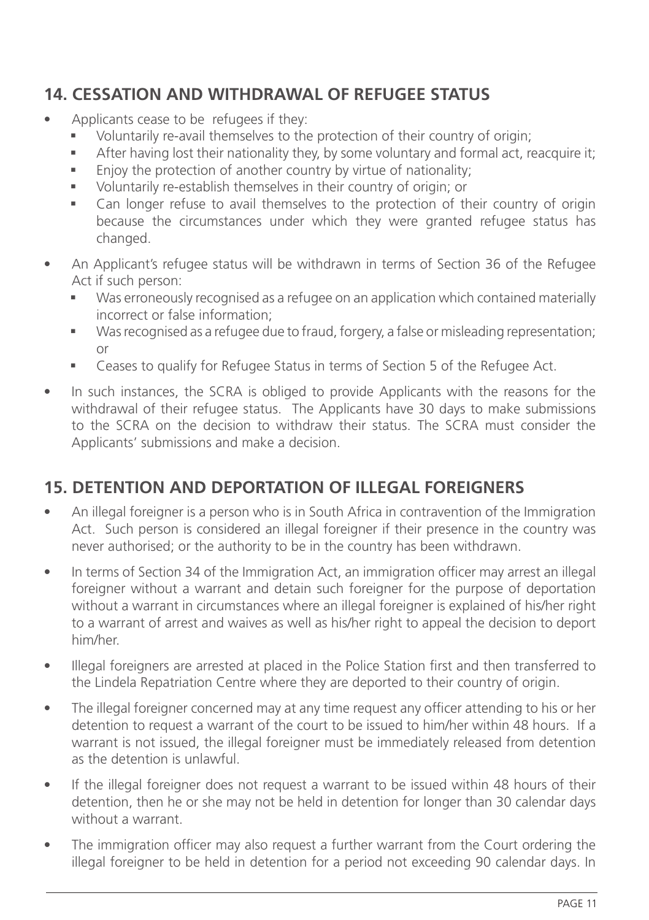## **14. CESSATION AND WITHDRAWAL OF REFUGEE STATUS**

- Applicants cease to be refugees if they:
	- Voluntarily re-avail themselves to the protection of their country of origin;
	- **•** After having lost their nationality they, by some voluntary and formal act, reacquire it;
	- **Enjoy the protection of another country by virtue of nationality;**
	- § Voluntarily re-establish themselves in their country of origin; or
	- Can longer refuse to avail themselves to the protection of their country of origin because the circumstances under which they were granted refugee status has changed.
- An Applicant's refugee status will be withdrawn in terms of Section 36 of the Refugee Act if such person:
	- Was erroneously recognised as a refugee on an application which contained materially incorrect or false information;
	- Was recognised as a refugee due to fraud, forgery, a false or misleading representation; or
	- Ceases to qualify for Refugee Status in terms of Section 5 of the Refugee Act.
- In such instances, the SCRA is obliged to provide Applicants with the reasons for the withdrawal of their refugee status. The Applicants have 30 days to make submissions to the SCRA on the decision to withdraw their status. The SCRA must consider the Applicants' submissions and make a decision.

#### **15. DETENTION AND DEPORTATION OF ILLEGAL FOREIGNERS**

- An illegal foreigner is a person who is in South Africa in contravention of the Immigration Act. Such person is considered an illegal foreigner if their presence in the country was never authorised; or the authority to be in the country has been withdrawn.
- In terms of Section 34 of the Immigration Act, an immigration officer may arrest an illegal foreigner without a warrant and detain such foreigner for the purpose of deportation without a warrant in circumstances where an illegal foreigner is explained of his/her right to a warrant of arrest and waives as well as his/her right to appeal the decision to deport him/her.
- Illegal foreigners are arrested at placed in the Police Station first and then transferred to the Lindela Repatriation Centre where they are deported to their country of origin.
- The illegal foreigner concerned may at any time request any officer attending to his or her detention to request a warrant of the court to be issued to him/her within 48 hours. If a warrant is not issued, the illegal foreigner must be immediately released from detention as the detention is unlawful.
- If the illegal foreigner does not request a warrant to be issued within 48 hours of their detention, then he or she may not be held in detention for longer than 30 calendar days without a warrant.
- The immigration officer may also request a further warrant from the Court ordering the illegal foreigner to be held in detention for a period not exceeding 90 calendar days. In